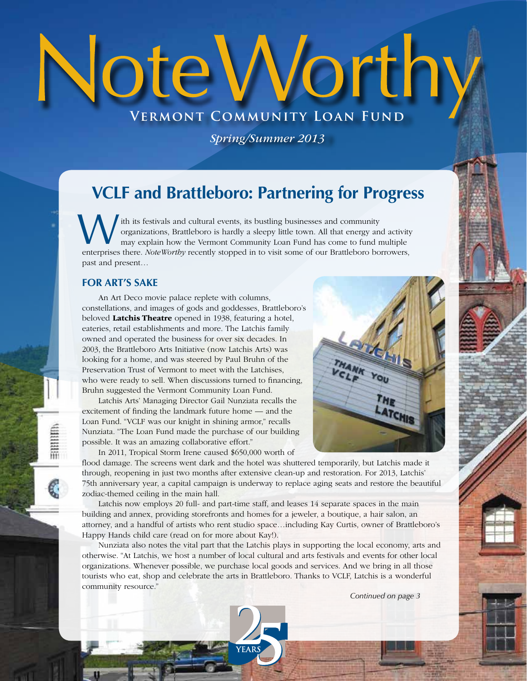# Note Worthy **Vermont Community Loan Fund**

*Spring/Summer 2013*

## **VCLF and Brattleboro: Partnering for Progress**

with its festivals and cultural events, its bustling businesses and community organizations, Brattleboro is hardly a sleepy little town. All that energy and activity may explain how the Vermont Community Loan Fund has come ith its festivals and cultural events, its bustling businesses and community organizations, Brattleboro is hardly a sleepy little town. All that energy and activity may explain how the Vermont Community Loan Fund has come to fund multiple past and present…

### **FOR ART'S SAKE**

≣mum

An Art Deco movie palace replete with columns, constellations, and images of gods and goddesses, Brattleboro's beloved Latchis Theatre opened in 1938, featuring a hotel, eateries, retail establishments and more. The Latchis family owned and operated the business for over six decades. In 2003, the Brattleboro Arts Initiative (now Latchis Arts) was looking for a home, and was steered by Paul Bruhn of the Preservation Trust of Vermont to meet with the Latchises, who were ready to sell. When discussions turned to financing, Bruhn suggested the Vermont Community Loan Fund.

Latchis Arts' Managing Director Gail Nunziata recalls the excitement of finding the landmark future home — and the Loan Fund. "VCLF was our knight in shining armor," recalls Nunziata. "The Loan Fund made the purchase of our building possible. It was an amazing collaborative effort."

In 2011, Tropical Storm Irene caused \$650,000 worth of



flood damage. The screens went dark and the hotel was shuttered temporarily, but Latchis made it through, reopening in just two months after extensive clean-up and restoration. For 2013, Latchis' 75th anniversary year, a capital campaign is underway to replace aging seats and restore the beautiful zodiac-themed ceiling in the main hall.

Latchis now employs 20 full- and part-time staff, and leases 14 separate spaces in the main building and annex, providing storefronts and homes for a jeweler, a boutique, a hair salon, an attorney, and a handful of artists who rent studio space…including Kay Curtis, owner of Brattleboro's Happy Hands child care (read on for more about Kay!).

Nunziata also notes the vital part that the Latchis plays in supporting the local economy, arts and otherwise. "At Latchis, we host a number of local cultural and arts festivals and events for other local organizations. Whenever possible, we purchase local goods and services. And we bring in all those tourists who eat, shop and celebrate the arts in Brattleboro. Thanks to VCLF, Latchis is a wonderful community resource."

*Continued on page 3*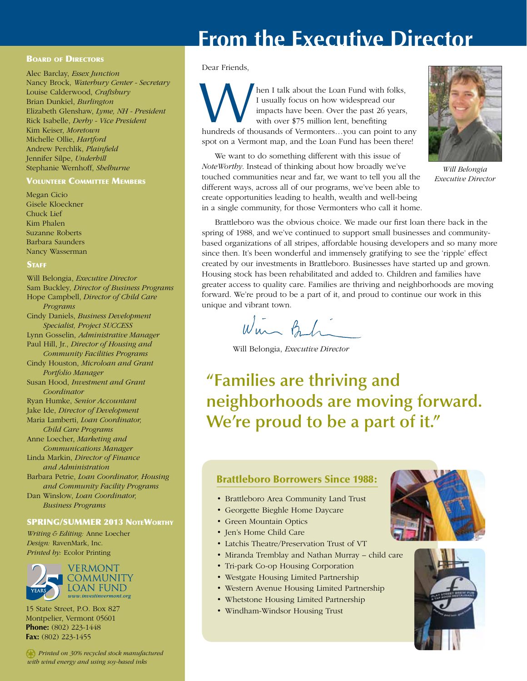# **From the Executive Director**

### **BOARD OF DIRECTORS**

Alec Barclay, *Essex Junction* Nancy Brock, *Waterbury Center - Secretary* Louise Calderwood, *Craftsbury* Brian Dunkiel, *Burlington* Elizabeth Glenshaw, *Lyme, NH - President* Rick Isabelle, *Derby - Vice President* Kim Keiser, *Moretown* Michelle Ollie, *Hartford* Andrew Perchlik, *Plainfield* Jennifer Silpe, *Underhill* Stephanie Wernhoff, *Shelburne*

### Volunteer Committee Members

Megan Cicio Gisele Kloeckner Chuck Lief Kim Phalen Suzanne Roberts Barbara Saunders Nancy Wasserman

### **STAFF**

Will Belongia, *Executive Director* Sam Buckley, *Director of Business Programs* Hope Campbell, *Director of Child Care Programs* Cindy Daniels, *Business Development Specialist, Project SUCCESS* Lynn Gosselin, *Administrative Manager* Paul Hill, Jr., *Director of Housing and Community Facilities Programs* Cindy Houston, *Microloan and Grant Portfolio Manager* Susan Hood, *Investment and Grant Coordinator* Ryan Humke, *Senior Accountant* Jake Ide, *Director of Development* Maria Lamberti, *Loan Coordinator, Child Care Programs* Anne Loecher, *Marketing and Communications Manager* Linda Markin, *Director of Finance and Administration* Barbara Petrie, *Loan Coordinator, Housing and Community Facility Programs* Dan Winslow, *Loan Coordinator, Business Programs*

### SPRING/SUMMER 2013 NoteWorthy

*Writing & Editing:* Anne Loecher *Design:* RavenMark, Inc. *Printed by:* Ecolor Printing



15 State Street, P.O. Box 827 Montpelier, Vermont 05601 **Phone:** (802) 223-1448 **Fax:** (802) 223-1455

*Printed on 30% recycled stock manufactured with wind energy and using soy-based inks*

### Dear Friends,

 hen I talk about the Loan Fund with folks, I usually focus on how widespread our impacts have been. Over the past 26 years, with over \$75 million lent, benefiting hen I talk about the Loan Fund with folks,<br>I usually focus on how widespread our<br>impacts have been. Over the past 26 years,<br>with over \$75 million lent, benefiting<br>hundreds of thousands of Vermonters...you can point to any spot on a Vermont map, and the Loan Fund has been there!

We want to do something different with this issue of *NoteWorthy*. Instead of thinking about how broadly we've touched communities near and far, we want to tell you all the different ways, across all of our programs, we've been able to create opportunities leading to health, wealth and well-being in a single community, for those Vermonters who call it home.



*Will Belongia Executive Director*

Brattleboro was the obvious choice. We made our first loan there back in the spring of 1988, and we've continued to support small businesses and communitybased organizations of all stripes, affordable housing developers and so many more since then. It's been wonderful and immensely gratifying to see the 'ripple' effect created by our investments in Brattleboro. Businesses have started up and grown. Housing stock has been rehabilitated and added to. Children and families have greater access to quality care. Families are thriving and neighborhoods are moving forward. We're proud to be a part of it, and proud to continue our work in this unique and vibrant town.

Win But

Will Belongia, *Executive Director*

**"Families are thriving and neighborhoods are moving forward. We're proud to be a part of it."**

### Brattleboro Borrowers Since 1988:

- • Brattleboro Area Community Land Trust
- • Georgette Bieghle Home Daycare
- • Green Mountain Optics
- Jen's Home Child Care
- • Latchis Theatre/Preservation Trust of VT
- Miranda Tremblay and Nathan Murray child care
- Tri-park Co-op Housing Corporation
- • Westgate Housing Limited Partnership
- • Western Avenue Housing Limited Partnership
- • Whetstone Housing Limited Partnership
- • Windham-Windsor Housing Trust



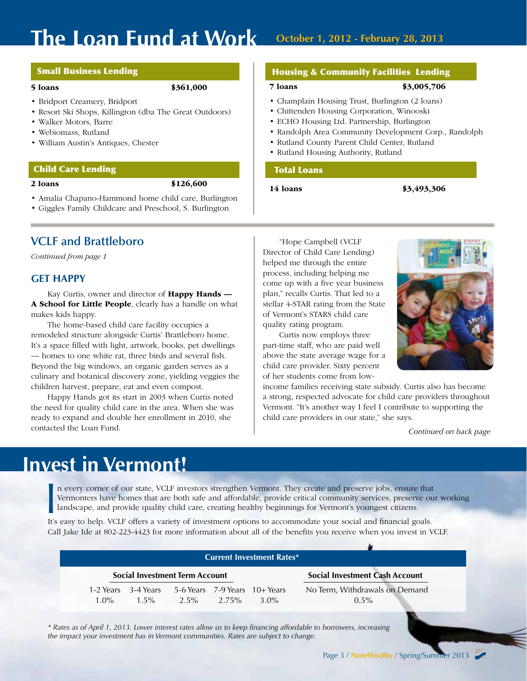# **The Loan Fund at Work October 1, 2012 - February 28, 2013**

### Small Business Lending

### 5 loans \$361,000

- Bridport Creamery, Bridport
- • Resort Ski Shops, Killington (dba The Great Outdoors)
- • Walker Motors, Barre
- • Webiomass, Rutland
- • William Austin's Antiques, Chester

### Child Care Lending

2 loans \$126,600

- • Amalia Chapano-Hammond home child care, Burlington
- • Giggles Family Childcare and Preschool, S. Burlington

### **VCLF and Brattleboro**

*Continued from page 1*

### **GET HAPPY**

Kay Curtis, owner and director of **Happy Hands** — A School for Little People, clearly has a handle on what makes kids happy.

The home-based child care facility occupies a remodeled structure alongside Curtis' Brattleboro home. It's a space filled with light, artwork, books, pet dwellings — homes to one white rat, three birds and several fish. Beyond the big windows, an organic garden serves as a culinary and botanical discovery zone, yielding veggies the children harvest, prepare, eat and even compost.

Happy Hands got its start in 2003 when Curtis noted the need for quality child care in the area. When she was ready to expand and double her enrollment in 2010, she contacted the Loan Fund.

### Housing & Community Facilities Lending

### 7 loans \$3,005,706

### • Champlain Housing Trust, Burlington (2 loans)

- • Chittenden Housing Corporation, Winooski
- • ECHO Housing Ltd. Partnership, Burlington
- • Randolph Area Community Development Corp., Randolph
- • Rutland County Parent Child Center, Rutland
- • Rutland Housing Authority, Rutland

### Total Loans

14 loans \$3,493,306

"Hope Campbell (VCLF Director of Child Care Lending) helped me through the entire process, including helping me come up with a five year business plan," recalls Curtis. That led to a stellar 4-STAR rating from the State of Vermont's STARS child care quality rating program.

Curtis now employs three part-time staff, who are paid well above the state average wage for a child care provider. Sixty percent of her students come from low-

income families receiving state subsidy. Curtis also has become a strong, respected advocate for child care providers throughout Vermont. "It's another way I feel I contribute to supporting the child care providers in our state," she says.

*Continued on back page*

# **Invest in Vermont!**

n every corner of our state, VCLF investors strengthen Vermont. They create and preserve jobs, ensure that Vermonters have homes that are both safe and affordable, provide critical community services, preserve our working landscape, and provide quality child care, creating healthy beginnings for Vermont's youngest citizens. It's easy to help. VCLF offers a variety of investment options to accommodate your social and financial goals. It's easy to help. VCLF offers a variety of investment options to accommodate your social and financial goals.

Call Jake Ide at 802-223-4423 for more information about all of the benefits you receive when you invest in VCLF.

| <b>Current Investment Rates*</b>      |                     |                                                           |  |         |                                       |
|---------------------------------------|---------------------|-----------------------------------------------------------|--|---------|---------------------------------------|
| <b>Social Investment Term Account</b> |                     |                                                           |  |         | <b>Social Investment Cash Account</b> |
|                                       | 1-2 Years 3-4 Years | 5-6 Years 7-9 Years 10+ Years<br>$1.5\%$ $2.5\%$ $2.75\%$ |  |         | No Term, Withdrawals on Demand        |
| $1.0\%$                               |                     |                                                           |  | $3.0\%$ | $0.5\%$                               |

*\* Rates as of April 1, 2013. Lower interest rates allow us to keep financing affordable to borrowers, increasing the impact your investment has in Vermont communities. Rates are subject to change.*